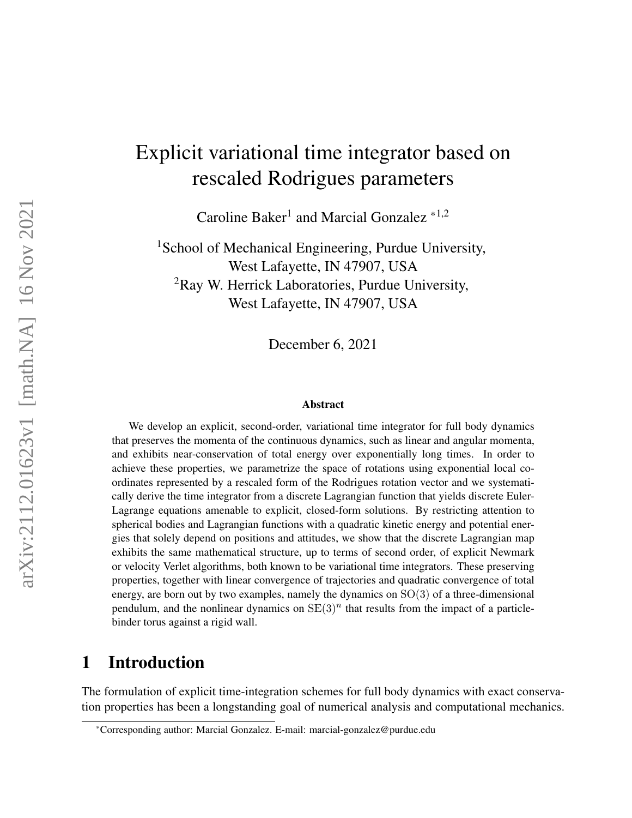# Explicit variational time integrator based on rescaled Rodrigues parameters

Caroline Baker<sup>1</sup> and Marcial Gonzalez<sup>\*1,2</sup>

<sup>1</sup>School of Mechanical Engineering, Purdue University, West Lafayette, IN 47907, USA <sup>2</sup>Ray W. Herrick Laboratories, Purdue University, West Lafayette, IN 47907, USA

December 6, 2021

#### Abstract

We develop an explicit, second-order, variational time integrator for full body dynamics that preserves the momenta of the continuous dynamics, such as linear and angular momenta, and exhibits near-conservation of total energy over exponentially long times. In order to achieve these properties, we parametrize the space of rotations using exponential local coordinates represented by a rescaled form of the Rodrigues rotation vector and we systematically derive the time integrator from a discrete Lagrangian function that yields discrete Euler-Lagrange equations amenable to explicit, closed-form solutions. By restricting attention to spherical bodies and Lagrangian functions with a quadratic kinetic energy and potential energies that solely depend on positions and attitudes, we show that the discrete Lagrangian map exhibits the same mathematical structure, up to terms of second order, of explicit Newmark or velocity Verlet algorithms, both known to be variational time integrators. These preserving properties, together with linear convergence of trajectories and quadratic convergence of total energy, are born out by two examples, namely the dynamics on  $SO(3)$  of a three-dimensional pendulum, and the nonlinear dynamics on  $SE(3)^n$  that results from the impact of a particlebinder torus against a rigid wall.

# 1 Introduction

The formulation of explicit time-integration schemes for full body dynamics with exact conservation properties has been a longstanding goal of numerical analysis and computational mechanics.

<sup>\*</sup>Corresponding author: Marcial Gonzalez. E-mail: marcial-gonzalez@purdue.edu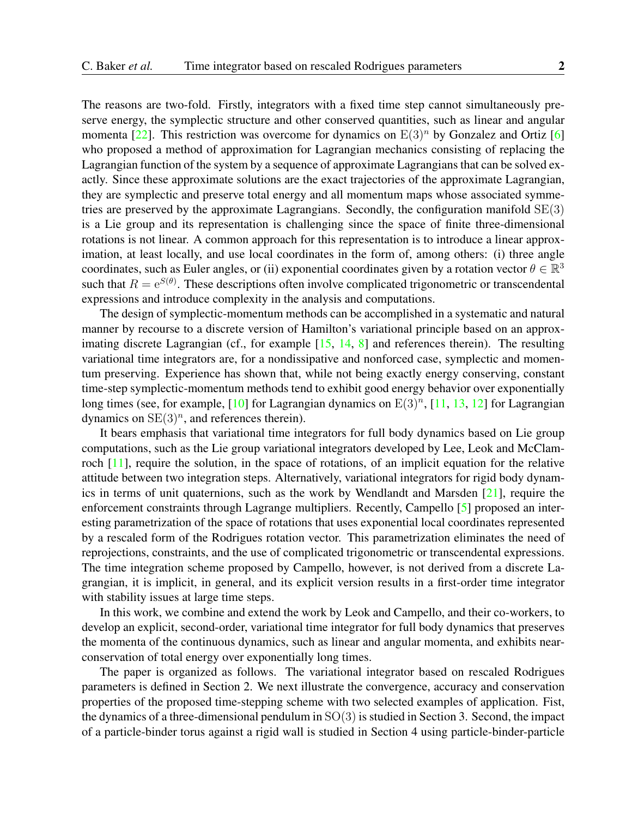The reasons are two-fold. Firstly, integrators with a fixed time step cannot simultaneously preserve energy, the symplectic structure and other conserved quantities, such as linear and angular momenta [\[22\]](#page-19-0). This restriction was overcome for dynamics on  $E(3)^n$  by Gonzalez and Ortiz [\[6\]](#page-18-0) who proposed a method of approximation for Lagrangian mechanics consisting of replacing the Lagrangian function of the system by a sequence of approximate Lagrangians that can be solved exactly. Since these approximate solutions are the exact trajectories of the approximate Lagrangian, they are symplectic and preserve total energy and all momentum maps whose associated symmetries are preserved by the approximate Lagrangians. Secondly, the configuration manifold  $SE(3)$ is a Lie group and its representation is challenging since the space of finite three-dimensional rotations is not linear. A common approach for this representation is to introduce a linear approximation, at least locally, and use local coordinates in the form of, among others: (i) three angle coordinates, such as Euler angles, or (ii) exponential coordinates given by a rotation vector  $\theta \in \mathbb{R}^3$ such that  $R = e^{S(\theta)}$ . These descriptions often involve complicated trigonometric or transcendental expressions and introduce complexity in the analysis and computations.

The design of symplectic-momentum methods can be accomplished in a systematic and natural manner by recourse to a discrete version of Hamilton's variational principle based on an approx-imating discrete Lagrangian (cf., for example [\[15,](#page-18-1) [14,](#page-18-2) [8\]](#page-18-3) and references therein). The resulting variational time integrators are, for a nondissipative and nonforced case, symplectic and momentum preserving. Experience has shown that, while not being exactly energy conserving, constant time-step symplectic-momentum methods tend to exhibit good energy behavior over exponentially long times (see, for example,  $[10]$  for Lagrangian dynamics on  $E(3)^n$ ,  $[11, 13, 12]$  $[11, 13, 12]$  $[11, 13, 12]$  $[11, 13, 12]$  $[11, 13, 12]$  for Lagrangian dynamics on  $SE(3)<sup>n</sup>$ , and references therein).

It bears emphasis that variational time integrators for full body dynamics based on Lie group computations, such as the Lie group variational integrators developed by Lee, Leok and McClamroch [\[11\]](#page-18-5), require the solution, in the space of rotations, of an implicit equation for the relative attitude between two integration steps. Alternatively, variational integrators for rigid body dynamics in terms of unit quaternions, such as the work by Wendlandt and Marsden [\[21\]](#page-19-1), require the enforcement constraints through Lagrange multipliers. Recently, Campello [\[5\]](#page-17-0) proposed an interesting parametrization of the space of rotations that uses exponential local coordinates represented by a rescaled form of the Rodrigues rotation vector. This parametrization eliminates the need of reprojections, constraints, and the use of complicated trigonometric or transcendental expressions. The time integration scheme proposed by Campello, however, is not derived from a discrete Lagrangian, it is implicit, in general, and its explicit version results in a first-order time integrator with stability issues at large time steps.

In this work, we combine and extend the work by Leok and Campello, and their co-workers, to develop an explicit, second-order, variational time integrator for full body dynamics that preserves the momenta of the continuous dynamics, such as linear and angular momenta, and exhibits nearconservation of total energy over exponentially long times.

The paper is organized as follows. The variational integrator based on rescaled Rodrigues parameters is defined in Section 2. We next illustrate the convergence, accuracy and conservation properties of the proposed time-stepping scheme with two selected examples of application. Fist, the dynamics of a three-dimensional pendulum in  $SO(3)$  is studied in Section 3. Second, the impact of a particle-binder torus against a rigid wall is studied in Section 4 using particle-binder-particle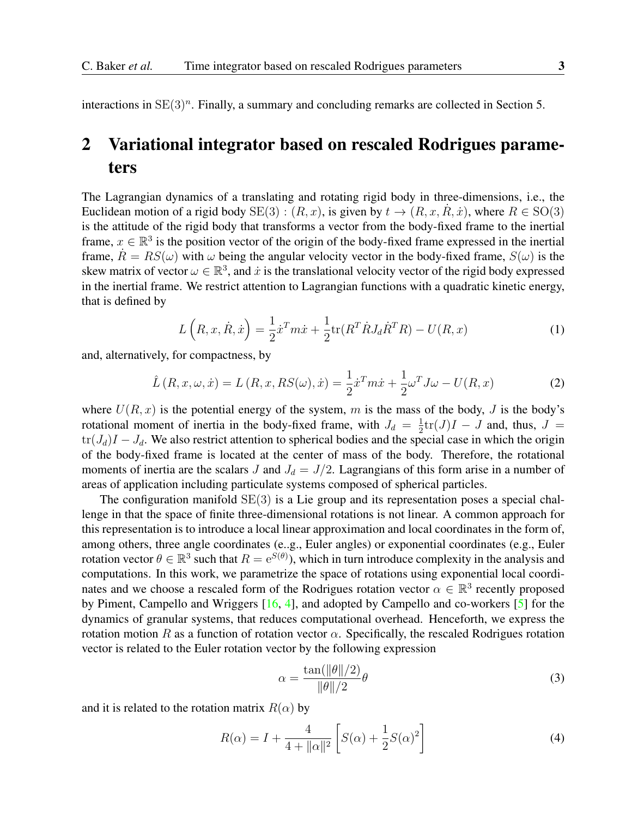interactions in  $SE(3)^n$ . Finally, a summary and concluding remarks are collected in Section 5.

# 2 Variational integrator based on rescaled Rodrigues parameters

The Lagrangian dynamics of a translating and rotating rigid body in three-dimensions, i.e., the Euclidean motion of a rigid body  $SE(3)$ :  $(R, x)$ , is given by  $t \to (R, x, R, \dot{x})$ , where  $R \in SO(3)$ is the attitude of the rigid body that transforms a vector from the body-fixed frame to the inertial frame,  $x \in \mathbb{R}^3$  is the position vector of the origin of the body-fixed frame expressed in the inertial frame,  $\hat{R} = RS(\omega)$  with  $\omega$  being the angular velocity vector in the body-fixed frame,  $S(\omega)$  is the skew matrix of vector  $\omega \in \mathbb{R}^3$ , and  $\dot{x}$  is the translational velocity vector of the rigid body expressed in the inertial frame. We restrict attention to Lagrangian functions with a quadratic kinetic energy, that is defined by

$$
L\left(R, x, \dot{R}, \dot{x}\right) = \frac{1}{2}\dot{x}^T m \dot{x} + \frac{1}{2} \text{tr}(R^T \dot{R} J_d \dot{R}^T R) - U(R, x) \tag{1}
$$

and, alternatively, for compactness, by

$$
\hat{L}(R, x, \omega, \dot{x}) = L(R, x, RS(\omega), \dot{x}) = \frac{1}{2}\dot{x}^T m \dot{x} + \frac{1}{2}\omega^T J \omega - U(R, x)
$$
\n(2)

where  $U(R, x)$  is the potential energy of the system, m is the mass of the body, J is the body's rotational moment of inertia in the body-fixed frame, with  $J_d = \frac{1}{2}$  $\frac{1}{2}$ tr(*J*)*I* – *J* and, thus, *J* =  $tr(J_d)I - J_d$ . We also restrict attention to spherical bodies and the special case in which the origin of the body-fixed frame is located at the center of mass of the body. Therefore, the rotational moments of inertia are the scalars J and  $J_d = J/2$ . Lagrangians of this form arise in a number of areas of application including particulate systems composed of spherical particles.

The configuration manifold  $SE(3)$  is a Lie group and its representation poses a special challenge in that the space of finite three-dimensional rotations is not linear. A common approach for this representation is to introduce a local linear approximation and local coordinates in the form of, among others, three angle coordinates (e..g., Euler angles) or exponential coordinates (e.g., Euler rotation vector  $\theta \in \mathbb{R}^3$  such that  $R = e^{S(\theta)}$ ), which in turn introduce complexity in the analysis and computations. In this work, we parametrize the space of rotations using exponential local coordinates and we choose a rescaled form of the Rodrigues rotation vector  $\alpha \in \mathbb{R}^3$  recently proposed by Piment, Campello and Wriggers [\[16,](#page-18-8) [4\]](#page-17-1), and adopted by Campello and co-workers [\[5\]](#page-17-0) for the dynamics of granular systems, that reduces computational overhead. Henceforth, we express the rotation motion R as a function of rotation vector  $\alpha$ . Specifically, the rescaled Rodrigues rotation vector is related to the Euler rotation vector by the following expression

$$
\alpha = \frac{\tan(\|\theta\|/2)}{\|\theta\|/2}\theta\tag{3}
$$

and it is related to the rotation matrix  $R(\alpha)$  by

$$
R(\alpha) = I + \frac{4}{4 + \|\alpha\|^2} \left[ S(\alpha) + \frac{1}{2} S(\alpha)^2 \right]
$$
 (4)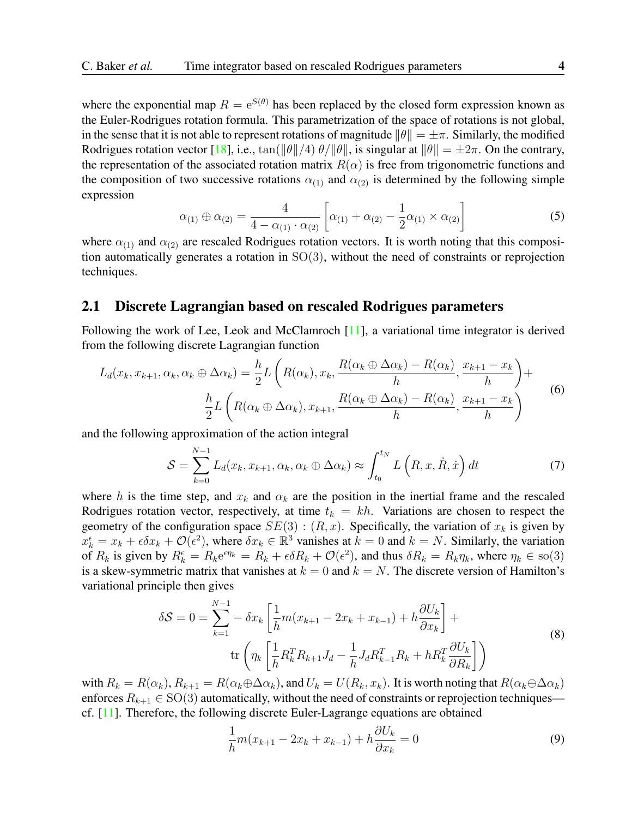where the exponential map  $R = e^{S(\theta)}$  has been replaced by the closed form expression known as the Euler-Rodrigues rotation formula. This parametrization of the space of rotations is not global, in the sense that it is not able to represent rotations of magnitude  $\|\theta\| = \pm \pi$ . Similarly, the modified Rodrigues rotation vector [\[18\]](#page-18-9), i.e.,  $\tan(\|\theta\|/4)$   $\theta/\|\theta\|$ , is singular at  $\|\theta\| = \pm 2\pi$ . On the contrary, the representation of the associated rotation matrix  $R(\alpha)$  is free from trigonometric functions and the composition of two successive rotations  $\alpha_{(1)}$  and  $\alpha_{(2)}$  is determined by the following simple expression

$$
\alpha_{(1)} \oplus \alpha_{(2)} = \frac{4}{4 - \alpha_{(1)} \cdot \alpha_{(2)}} \left[ \alpha_{(1)} + \alpha_{(2)} - \frac{1}{2} \alpha_{(1)} \times \alpha_{(2)} \right]
$$
(5)

where  $\alpha_{(1)}$  and  $\alpha_{(2)}$  are rescaled Rodrigues rotation vectors. It is worth noting that this composition automatically generates a rotation in  $SO(3)$ , without the need of constraints or reprojection techniques.

#### 2.1 Discrete Lagrangian based on rescaled Rodrigues parameters

Following the work of Lee, Leok and McClamroch [\[11\]](#page-18-5), a variational time integrator is derived from the following discrete Lagrangian function

$$
L_d(x_k, x_{k+1}, \alpha_k, \alpha_k \oplus \Delta \alpha_k) = \frac{h}{2} L\left(R(\alpha_k), x_k, \frac{R(\alpha_k \oplus \Delta \alpha_k) - R(\alpha_k)}{h}, \frac{x_{k+1} - x_k}{h}\right) + \frac{h}{2} L\left(R(\alpha_k \oplus \Delta \alpha_k), x_{k+1}, \frac{R(\alpha_k \oplus \Delta \alpha_k) - R(\alpha_k)}{h}, \frac{x_{k+1} - x_k}{h}\right)
$$
(6)

and the following approximation of the action integral

$$
S = \sum_{k=0}^{N-1} L_d(x_k, x_{k+1}, \alpha_k, \alpha_k \oplus \Delta \alpha_k) \approx \int_{t_0}^{t_N} L\left(R, x, \dot{R}, \dot{x}\right) dt \tag{7}
$$

where h is the time step, and  $x_k$  and  $\alpha_k$  are the position in the inertial frame and the rescaled Rodrigues rotation vector, respectively, at time  $t_k = kh$ . Variations are chosen to respect the geometry of the configuration space  $SE(3)$ :  $(R, x)$ . Specifically, the variation of  $x_k$  is given by  $x_k^{\epsilon} = x_k + \epsilon \delta x_k + \mathcal{O}(\epsilon^2)$ , where  $\delta x_k \in \mathbb{R}^3$  vanishes at  $k = 0$  and  $k = N$ . Similarly, the variation of  $R_k$  is given by  $R_k^{\epsilon} = R_k e^{\epsilon \eta_k} = R_k + \epsilon \delta R_k + \mathcal{O}(\epsilon^2)$ , and thus  $\delta R_k = R_k \eta_k$ , where  $\eta_k \in \text{so}(3)$ is a skew-symmetric matrix that vanishes at  $k = 0$  and  $k = N$ . The discrete version of Hamilton's variational principle then gives

$$
\delta S = 0 = \sum_{k=1}^{N-1} -\delta x_k \left[ \frac{1}{h} m(x_{k+1} - 2x_k + x_{k-1}) + h \frac{\partial U_k}{\partial x_k} \right] + \text{tr} \left( \eta_k \left[ \frac{1}{h} R_k^T R_{k+1} J_d - \frac{1}{h} J_d R_{k-1}^T R_k + h R_k^T \frac{\partial U_k}{\partial R_k} \right] \right)
$$
(8)

with  $R_k = R(\alpha_k)$ ,  $R_{k+1} = R(\alpha_k \oplus \Delta \alpha_k)$ , and  $U_k = U(R_k, x_k)$ . It is worth noting that  $R(\alpha_k \oplus \Delta \alpha_k)$ enforces  $R_{k+1} \in SO(3)$  automatically, without the need of constraints or reprojection techniques cf. [\[11\]](#page-18-5). Therefore, the following discrete Euler-Lagrange equations are obtained

$$
\frac{1}{h}m(x_{k+1} - 2x_k + x_{k-1}) + h\frac{\partial U_k}{\partial x_k} = 0
$$
\n(9)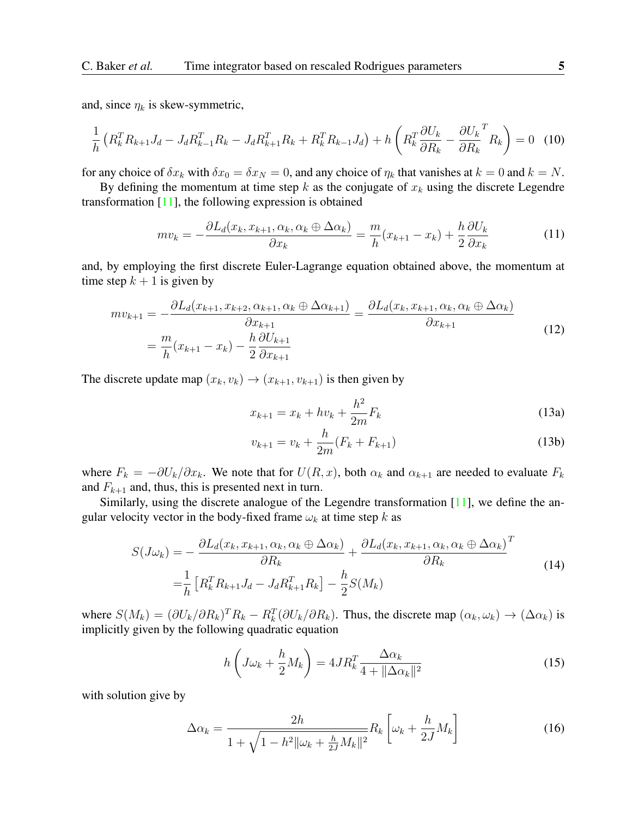and, since  $\eta_k$  is skew-symmetric,

$$
\frac{1}{h} \left( R_k^T R_{k+1} J_d - J_d R_{k-1}^T R_k - J_d R_{k+1}^T R_k + R_k^T R_{k-1} J_d \right) + h \left( R_k^T \frac{\partial U_k}{\partial R_k} - \frac{\partial U_k}{\partial R_k}^T R_k \right) = 0 \quad (10)
$$

for any choice of  $\delta x_k$  with  $\delta x_0 = \delta x_N = 0$ , and any choice of  $\eta_k$  that vanishes at  $k = 0$  and  $k = N$ .

By defining the momentum at time step k as the conjugate of  $x_k$  using the discrete Legendre transformation [\[11\]](#page-18-5), the following expression is obtained

$$
mv_k = -\frac{\partial L_d(x_k, x_{k+1}, \alpha_k, \alpha_k \oplus \Delta \alpha_k)}{\partial x_k} = \frac{m}{h}(x_{k+1} - x_k) + \frac{h}{2} \frac{\partial U_k}{\partial x_k}
$$
(11)

and, by employing the first discrete Euler-Lagrange equation obtained above, the momentum at time step  $k + 1$  is given by

$$
mv_{k+1} = -\frac{\partial L_d(x_{k+1}, x_{k+2}, \alpha_{k+1}, \alpha_k \oplus \Delta \alpha_{k+1})}{\partial x_{k+1}} = \frac{\partial L_d(x_k, x_{k+1}, \alpha_k, \alpha_k \oplus \Delta \alpha_k)}{\partial x_{k+1}}
$$
  
=  $\frac{m}{h}(x_{k+1} - x_k) - \frac{h}{2} \frac{\partial U_{k+1}}{\partial x_{k+1}}$  (12)

The discrete update map  $(x_k, v_k) \rightarrow (x_{k+1}, v_{k+1})$  is then given by

$$
x_{k+1} = x_k + hv_k + \frac{h^2}{2m}F_k
$$
\n(13a)

$$
v_{k+1} = v_k + \frac{h}{2m}(F_k + F_{k+1})
$$
\n(13b)

where  $F_k = -\partial U_k/\partial x_k$ . We note that for  $U(R, x)$ , both  $\alpha_k$  and  $\alpha_{k+1}$  are needed to evaluate  $F_k$ and  $F_{k+1}$  and, thus, this is presented next in turn.

Similarly, using the discrete analogue of the Legendre transformation [\[11\]](#page-18-5), we define the angular velocity vector in the body-fixed frame  $\omega_k$  at time step k as

$$
S(J\omega_k) = -\frac{\partial L_d(x_k, x_{k+1}, \alpha_k, \alpha_k \oplus \Delta \alpha_k)}{\partial R_k} + \frac{\partial L_d(x_k, x_{k+1}, \alpha_k, \alpha_k \oplus \Delta \alpha_k)}{\partial R_k}^T
$$
  
=  $\frac{1}{h} \left[ R_k^T R_{k+1} J_d - J_d R_{k+1}^T R_k \right] - \frac{h}{2} S(M_k)$  (14)

where  $S(M_k) = (\partial U_k/\partial R_k)^T R_k - R_k^T (\partial U_k/\partial R_k)$ . Thus, the discrete map  $(\alpha_k, \omega_k) \to (\Delta \alpha_k)$  is implicitly given by the following quadratic equation

$$
h\left(J\omega_k + \frac{h}{2}M_k\right) = 4JR_k^T \frac{\Delta\alpha_k}{4 + \|\Delta\alpha_k\|^2}
$$
\n(15)

with solution give by

$$
\Delta \alpha_k = \frac{2h}{1 + \sqrt{1 - h^2 ||\omega_k + \frac{h}{2J} M_k||^2}} R_k \left[ \omega_k + \frac{h}{2J} M_k \right]
$$
(16)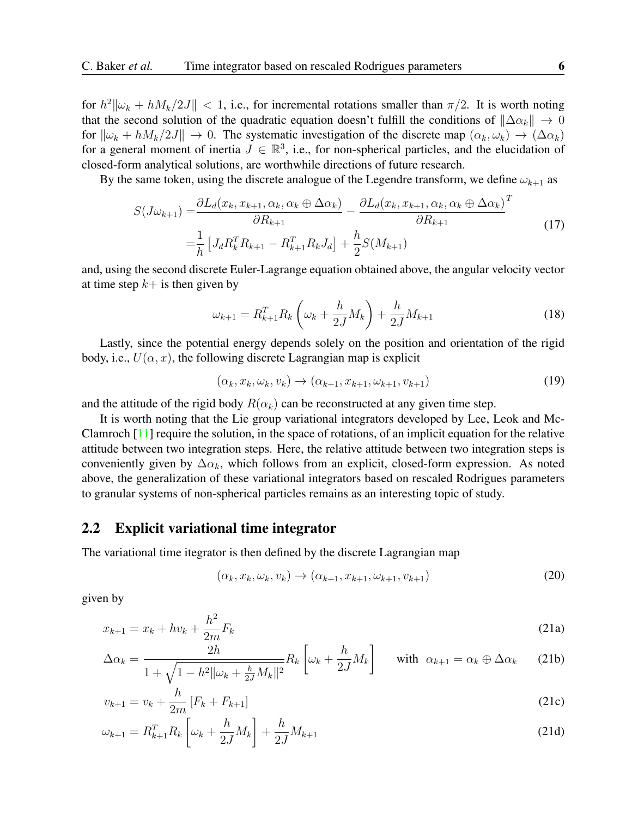for  $h^2 \|\omega_k + hM_k/2J\| < 1$ , i.e., for incremental rotations smaller than  $\pi/2$ . It is worth noting that the second solution of the quadratic equation doesn't fulfill the conditions of  $\|\Delta \alpha_k\| \to 0$ for  $\|\omega_k + hM_k/2J\| \to 0$ . The systematic investigation of the discrete map  $(\alpha_k, \omega_k) \to (\Delta \alpha_k)$ for a general moment of inertia  $J \in \mathbb{R}^3$ , i.e., for non-spherical particles, and the elucidation of closed-form analytical solutions, are worthwhile directions of future research.

By the same token, using the discrete analogue of the Legendre transform, we define  $\omega_{k+1}$  as

$$
S(J\omega_{k+1}) = \frac{\partial L_d(x_k, x_{k+1}, \alpha_k, \alpha_k \oplus \Delta \alpha_k)}{\partial R_{k+1}} - \frac{\partial L_d(x_k, x_{k+1}, \alpha_k, \alpha_k \oplus \Delta \alpha_k)}{\partial R_{k+1}}^T
$$
  
=  $\frac{1}{h} \left[ J_d R_k^T R_{k+1} - R_{k+1}^T R_k J_d \right] + \frac{h}{2} S(M_{k+1})$  (17)

and, using the second discrete Euler-Lagrange equation obtained above, the angular velocity vector at time step  $k+$  is then given by

$$
\omega_{k+1} = R_{k+1}^T R_k \left( \omega_k + \frac{h}{2J} M_k \right) + \frac{h}{2J} M_{k+1} \tag{18}
$$

Lastly, since the potential energy depends solely on the position and orientation of the rigid body, i.e.,  $U(\alpha, x)$ , the following discrete Lagrangian map is explicit

$$
(\alpha_k, x_k, \omega_k, v_k) \rightarrow (\alpha_{k+1}, x_{k+1}, \omega_{k+1}, v_{k+1})
$$
\n
$$
(19)
$$

and the attitude of the rigid body  $R(\alpha_k)$  can be reconstructed at any given time step.

It is worth noting that the Lie group variational integrators developed by Lee, Leok and Mc-Clamroch  $[11]$  require the solution, in the space of rotations, of an implicit equation for the relative attitude between two integration steps. Here, the relative attitude between two integration steps is conveniently given by  $\Delta \alpha_k$ , which follows from an explicit, closed-form expression. As noted above, the generalization of these variational integrators based on rescaled Rodrigues parameters to granular systems of non-spherical particles remains as an interesting topic of study.

#### 2.2 Explicit variational time integrator

The variational time itegrator is then defined by the discrete Lagrangian map

$$
(\alpha_k, x_k, \omega_k, v_k) \rightarrow (\alpha_{k+1}, x_{k+1}, \omega_{k+1}, v_{k+1})
$$
\n
$$
(20)
$$

given by

$$
x_{k+1} = x_k + hv_k + \frac{h^2}{2m} F_k
$$
\n(21a)

$$
\Delta \alpha_k = \frac{2h}{1 + \sqrt{1 - h^2 ||\omega_k + \frac{h}{2J} M_k ||^2}} R_k \left[ \omega_k + \frac{h}{2J} M_k \right] \quad \text{with } \alpha_{k+1} = \alpha_k \oplus \Delta \alpha_k \quad (21b)
$$

$$
v_{k+1} = v_k + \frac{h}{2m} \left[ F_k + F_{k+1} \right] \tag{21c}
$$

$$
\omega_{k+1} = R_{k+1}^T R_k \left[ \omega_k + \frac{h}{2J} M_k \right] + \frac{h}{2J} M_{k+1}
$$
\n(21d)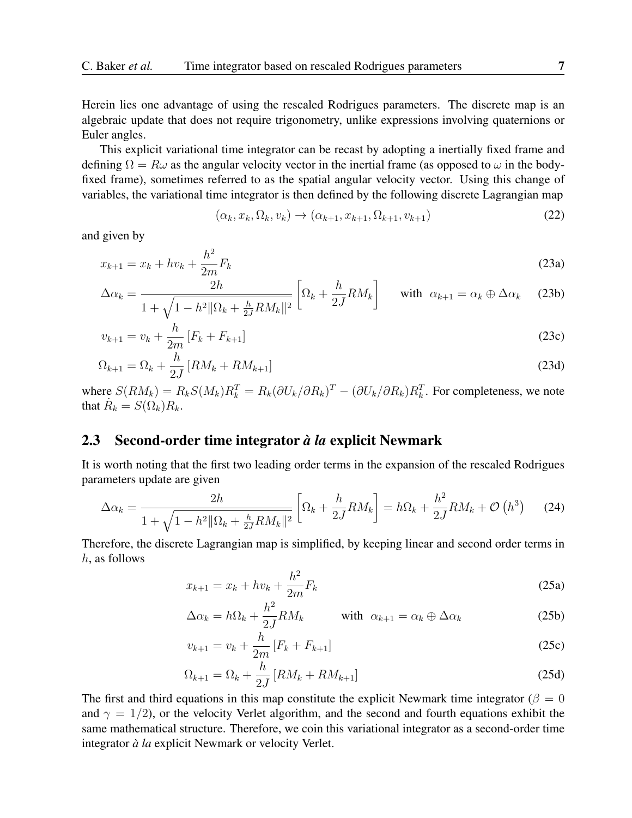Herein lies one advantage of using the rescaled Rodrigues parameters. The discrete map is an algebraic update that does not require trigonometry, unlike expressions involving quaternions or Euler angles.

This explicit variational time integrator can be recast by adopting a inertially fixed frame and defining  $\Omega = R\omega$  as the angular velocity vector in the inertial frame (as opposed to  $\omega$  in the bodyfixed frame), sometimes referred to as the spatial angular velocity vector. Using this change of variables, the variational time integrator is then defined by the following discrete Lagrangian map

$$
(\alpha_k, x_k, \Omega_k, v_k) \rightarrow (\alpha_{k+1}, x_{k+1}, \Omega_{k+1}, v_{k+1})
$$
\n
$$
(22)
$$

and given by

<span id="page-6-0"></span>
$$
x_{k+1} = x_k + hv_k + \frac{h^2}{2m}F_k
$$
\n(23a)

$$
\Delta \alpha_k = \frac{2h}{1 + \sqrt{1 - h^2 \|\Omega_k + \frac{h}{2J} R M_k\|^2}} \left[ \Omega_k + \frac{h}{2J} R M_k \right] \quad \text{with } \alpha_{k+1} = \alpha_k \oplus \Delta \alpha_k \quad (23b)
$$

$$
v_{k+1} = v_k + \frac{h}{2m} \left[ F_k + F_{k+1} \right] \tag{23c}
$$

$$
\Omega_{k+1} = \Omega_k + \frac{h}{2J} \left[ RM_k + RM_{k+1} \right] \tag{23d}
$$

where  $S(RM_k) = R_k S(M_k) R_k^T = R_k (\partial U_k / \partial R_k)^T - (\partial U_k / \partial R_k) R_k^T$ . For completeness, we note that  $\dot{R}_k = S(\Omega_k) R_k$ .

#### 2.3 Second-order time integrator *à la* explicit Newmark

It is worth noting that the first two leading order terms in the expansion of the rescaled Rodrigues parameters update are given

$$
\Delta \alpha_k = \frac{2h}{1 + \sqrt{1 - h^2 \|\Omega_k + \frac{h}{2J} RM_k\|^2}} \left[ \Omega_k + \frac{h}{2J} RM_k \right] = h\Omega_k + \frac{h^2}{2J} RM_k + \mathcal{O}\left(h^3\right) \tag{24}
$$

Therefore, the discrete Lagrangian map is simplified, by keeping linear and second order terms in h, as follows

<span id="page-6-1"></span>
$$
x_{k+1} = x_k + hv_k + \frac{h^2}{2m}F_k
$$
\n(25a)

$$
\Delta \alpha_k = h \Omega_k + \frac{h^2}{2J} R M_k \qquad \text{with } \alpha_{k+1} = \alpha_k \oplus \Delta \alpha_k \qquad (25b)
$$

$$
v_{k+1} = v_k + \frac{h}{2m} \left[ F_k + F_{k+1} \right] \tag{25c}
$$

$$
\Omega_{k+1} = \Omega_k + \frac{h}{2J} \left[ RM_k + RM_{k+1} \right] \tag{25d}
$$

The first and third equations in this map constitute the explicit Newmark time integrator ( $\beta = 0$ ) and  $\gamma = 1/2$ ), or the velocity Verlet algorithm, and the second and fourth equations exhibit the same mathematical structure. Therefore, we coin this variational integrator as a second-order time integrator *à la* explicit Newmark or velocity Verlet.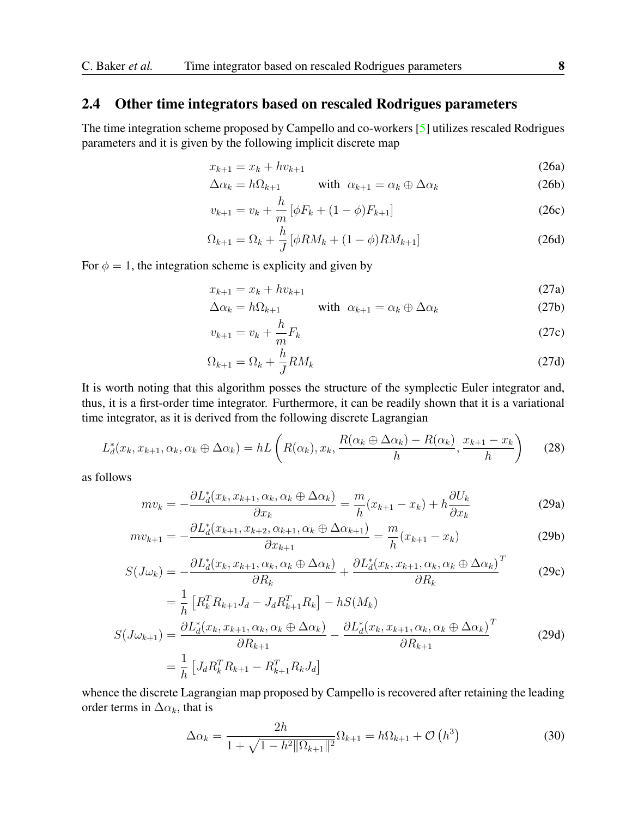#### 2.4 Other time integrators based on rescaled Rodrigues parameters

The time integration scheme proposed by Campello and co-workers [\[5\]](#page-17-0) utilizes rescaled Rodrigues parameters and it is given by the following implicit discrete map

$$
x_{k+1} = x_k + hv_{k+1}
$$
 (26a)

$$
\Delta \alpha_k = h \Omega_{k+1} \qquad \text{with } \alpha_{k+1} = \alpha_k \oplus \Delta \alpha_k \qquad (26b)
$$

$$
v_{k+1} = v_k + \frac{h}{m} \left[ \phi F_k + (1 - \phi) F_{k+1} \right]
$$
 (26c)

$$
\Omega_{k+1} = \Omega_k + \frac{h}{J} \left[ \phi R M_k + (1 - \phi) R M_{k+1} \right]
$$
 (26d)

For  $\phi = 1$ , the integration scheme is explicity and given by

<span id="page-7-0"></span>
$$
x_{k+1} = x_k + hv_{k+1}
$$
 (27a)

$$
\Delta \alpha_k = h \Omega_{k+1} \qquad \text{with } \alpha_{k+1} = \alpha_k \oplus \Delta \alpha_k \tag{27b}
$$

$$
v_{k+1} = v_k + \frac{h}{m} F_k \tag{27c}
$$

$$
\Omega_{k+1} = \Omega_k + \frac{h}{J} RM_k \tag{27d}
$$

It is worth noting that this algorithm posses the structure of the symplectic Euler integrator and, thus, it is a first-order time integrator. Furthermore, it can be readily shown that it is a variational time integrator, as it is derived from the following discrete Lagrangian

$$
L_d^*(x_k, x_{k+1}, \alpha_k, \alpha_k \oplus \Delta \alpha_k) = hL\left(R(\alpha_k), x_k, \frac{R(\alpha_k \oplus \Delta \alpha_k) - R(\alpha_k)}{h}, \frac{x_{k+1} - x_k}{h}\right) \tag{28}
$$

as follows

$$
mv_k = -\frac{\partial L_d^*(x_k, x_{k+1}, \alpha_k, \alpha_k \oplus \Delta \alpha_k)}{\partial x_k} = \frac{m}{h}(x_{k+1} - x_k) + h \frac{\partial U_k}{\partial x_k}
$$
(29a)

$$
mv_{k+1} = -\frac{\partial L_d^*(x_{k+1}, x_{k+2}, \alpha_{k+1}, \alpha_k \oplus \Delta \alpha_{k+1})}{\partial x_{k+1}} = \frac{m}{h}(x_{k+1} - x_k)
$$
(29b)

$$
S(J\omega_k) = -\frac{\partial L_d^*(x_k, x_{k+1}, \alpha_k, \alpha_k \oplus \Delta \alpha_k)}{\partial R_k} + \frac{\partial L_d^*(x_k, x_{k+1}, \alpha_k, \alpha_k \oplus \Delta \alpha_k)}{\partial R_k}^T
$$
(29c)

$$
= \frac{1}{h} \left[ R_k^T R_{k+1} J_d - J_d R_{k+1}^T R_k \right] - hS(M_k)
$$
  

$$
S(J\omega_{k+1}) = \frac{\partial L_d^*(x_k, x_{k+1}, \alpha_k, \alpha_k \oplus \Delta \alpha_k)}{\partial R_{k+1}} - \frac{\partial L_d^*(x_k, x_{k+1}, \alpha_k, \alpha_k \oplus \Delta \alpha_k)}{\partial R_{k+1}}^T
$$
(29d)  

$$
= \frac{1}{h} \left[ J_d R_k^T R_{k+1} - R_{k+1}^T R_k J_d \right]
$$

whence the discrete Lagrangian map proposed by Campello is recovered after retaining the leading order terms in  $\Delta \alpha_k$ , that is

$$
\Delta \alpha_k = \frac{2h}{1 + \sqrt{1 - h^2 ||\Omega_{k+1}||^2}} \Omega_{k+1} = h \Omega_{k+1} + \mathcal{O}\left(h^3\right) \tag{30}
$$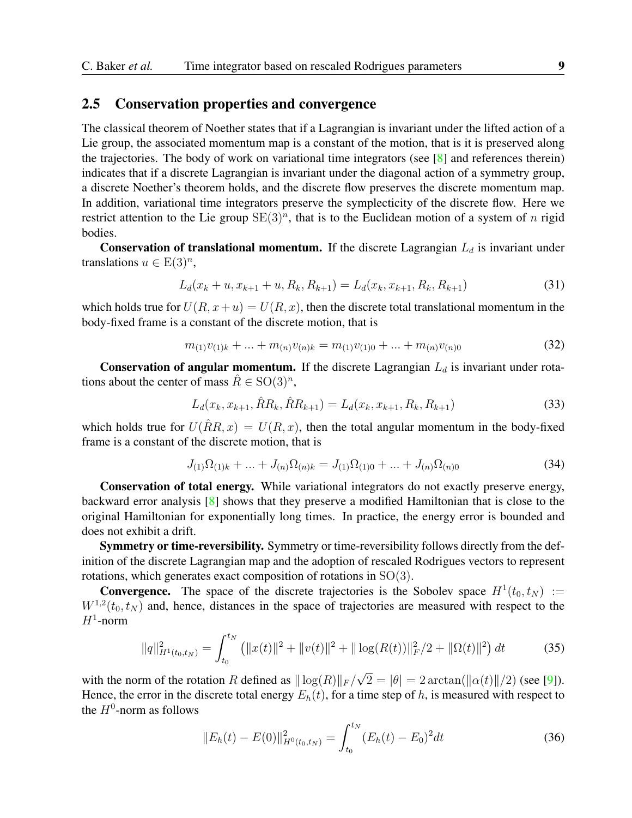#### 2.5 Conservation properties and convergence

The classical theorem of Noether states that if a Lagrangian is invariant under the lifted action of a Lie group, the associated momentum map is a constant of the motion, that is it is preserved along the trajectories. The body of work on variational time integrators (see  $\lceil 8 \rceil$  and references therein) indicates that if a discrete Lagrangian is invariant under the diagonal action of a symmetry group, a discrete Noether's theorem holds, and the discrete flow preserves the discrete momentum map. In addition, variational time integrators preserve the symplecticity of the discrete flow. Here we restrict attention to the Lie group  $SE(3)^n$ , that is to the Euclidean motion of a system of n rigid bodies.

**Conservation of translational momentum.** If the discrete Lagrangian  $L_d$  is invariant under translations  $u \in E(3)^n$ ,

$$
L_d(x_k + u, x_{k+1} + u, R_k, R_{k+1}) = L_d(x_k, x_{k+1}, R_k, R_{k+1})
$$
\n(31)

which holds true for  $U(R, x+u) = U(R, x)$ , then the discrete total translational momentum in the body-fixed frame is a constant of the discrete motion, that is

$$
m_{(1)}v_{(1)k} + \ldots + m_{(n)}v_{(n)k} = m_{(1)}v_{(1)0} + \ldots + m_{(n)}v_{(n)0}
$$
\n(32)

**Conservation of angular momentum.** If the discrete Lagrangian  $L_d$  is invariant under rotations about the center of mass  $\hat{R} \in SO(3)^n$ ,

$$
L_d(x_k, x_{k+1}, \hat{R}R_k, \hat{R}R_{k+1}) = L_d(x_k, x_{k+1}, R_k, R_{k+1})
$$
\n(33)

which holds true for  $U(\hat{R}R, x) = U(R, x)$ , then the total angular momentum in the body-fixed frame is a constant of the discrete motion, that is

$$
J_{(1)}\Omega_{(1)k} + \dots + J_{(n)}\Omega_{(n)k} = J_{(1)}\Omega_{(1)0} + \dots + J_{(n)}\Omega_{(n)0}
$$
\n(34)

Conservation of total energy. While variational integrators do not exactly preserve energy, backward error analysis [\[8\]](#page-18-3) shows that they preserve a modified Hamiltonian that is close to the original Hamiltonian for exponentially long times. In practice, the energy error is bounded and does not exhibit a drift.

Symmetry or time-reversibility. Symmetry or time-reversibility follows directly from the definition of the discrete Lagrangian map and the adoption of rescaled Rodrigues vectors to represent rotations, which generates exact composition of rotations in SO(3).

**Convergence.** The space of the discrete trajectories is the Sobolev space  $H^1(t_0, t_N) :=$  $W^{1,2}(t_0, t_N)$  and, hence, distances in the space of trajectories are measured with respect to the  $H^1$ -norm

$$
||q||_{H^1(t_0, t_N)}^2 = \int_{t_0}^{t_N} (||x(t)||^2 + ||v(t)||^2 + ||\log(R(t))||_F^2 / 2 + ||\Omega(t)||^2) dt
$$
 (35)

with the norm of the rotation R defined as  $\|\log(R)\|_F /$  $2 = |\theta| = 2 \arctan(||\alpha(t)||/2)$  (see [\[9\]](#page-18-10)). Hence, the error in the discrete total energy  $E_h(t)$ , for a time step of h, is measured with respect to the  $H^0$ -norm as follows

$$
||E_h(t) - E(0)||_{H^0(t_0, t_N)}^2 = \int_{t_0}^{t_N} (E_h(t) - E_0)^2 dt
$$
\n(36)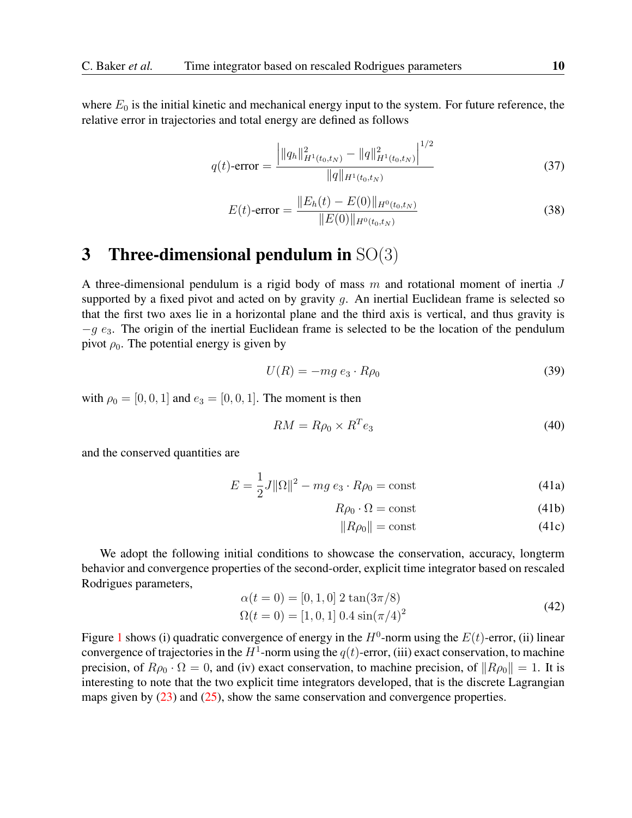where  $E_0$  is the initial kinetic and mechanical energy input to the system. For future reference, the relative error in trajectories and total energy are defined as follows

$$
q(t) \text{-error} = \frac{\left| ||q_h||_{H^1(t_0, t_N)}^2 - ||q||_{H^1(t_0, t_N)}^2 \right|^{1/2}}{||q||_{H^1(t_0, t_N)}} \tag{37}
$$

$$
E(t) \text{-error} = \frac{\|E_h(t) - E(0)\|_{H^0(t_0, t_N)}}{\|E(0)\|_{H^0(t_0, t_N)}}
$$
(38)

# 3 Three-dimensional pendulum in  $SO(3)$

A three-dimensional pendulum is a rigid body of mass  $m$  and rotational moment of inertia  $J$ supported by a fixed pivot and acted on by gravity q. An inertial Euclidean frame is selected so that the first two axes lie in a horizontal plane and the third axis is vertical, and thus gravity is  $-g$  e<sub>3</sub>. The origin of the inertial Euclidean frame is selected to be the location of the pendulum pivot  $\rho_0$ . The potential energy is given by

$$
U(R) = -mg e_3 \cdot R\rho_0 \tag{39}
$$

with  $\rho_0 = [0, 0, 1]$  and  $e_3 = [0, 0, 1]$ . The moment is then

$$
RM = R\rho_0 \times R^T e_3 \tag{40}
$$

and the conserved quantities are

$$
E = \frac{1}{2}J \|\Omega\|^2 - mg \, e_3 \cdot R\rho_0 = \text{const}
$$
\n
$$
\tag{41a}
$$

$$
R\rho_0 \cdot \Omega = \text{const} \tag{41b}
$$

$$
||R\rho_0|| = \text{const} \tag{41c}
$$

We adopt the following initial conditions to showcase the conservation, accuracy, longterm behavior and convergence properties of the second-order, explicit time integrator based on rescaled Rodrigues parameters,

$$
\alpha(t = 0) = [0, 1, 0] 2 \tan(3\pi/8)
$$
  
\n
$$
\Omega(t = 0) = [1, 0, 1] 0.4 \sin(\pi/4)^2
$$
\n(42)

Figure [1](#page-10-0) shows (i) quadratic convergence of energy in the  $H^0$ -norm using the  $E(t)$ -error, (ii) linear convergence of trajectories in the  $H^1$ -norm using the  $q(t)$ -error, (iii) exact conservation, to machine precision, of  $R\rho_0 \cdot \Omega = 0$ , and (iv) exact conservation, to machine precision, of  $||R\rho_0|| = 1$ . It is interesting to note that the two explicit time integrators developed, that is the discrete Lagrangian maps given by [\(23\)](#page-6-0) and [\(25\)](#page-6-1), show the same conservation and convergence properties.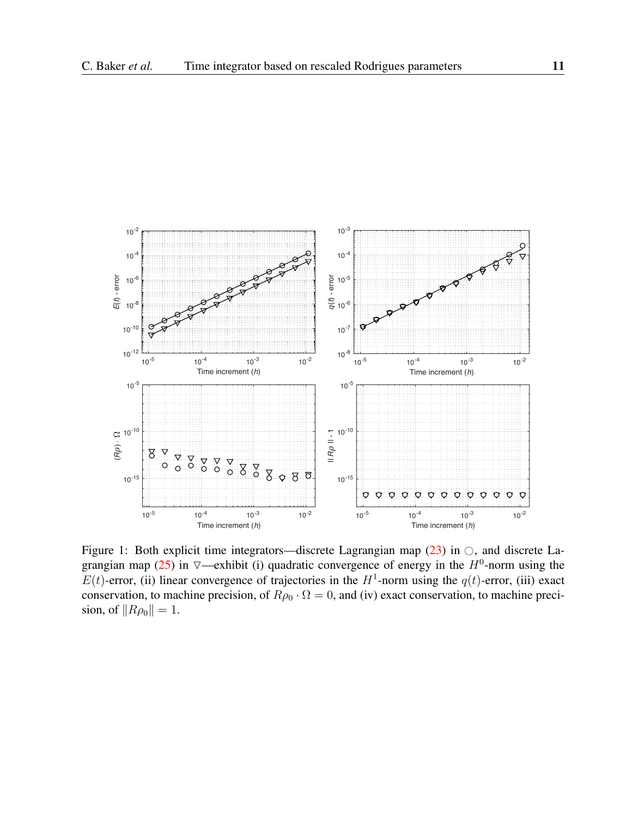

<span id="page-10-0"></span>Figure 1: Both explicit time integrators—discrete Lagrangian map  $(23)$  in  $\circ$ , and discrete La-grangian map [\(25\)](#page-6-1) in  $\nabla$ —exhibit (i) quadratic convergence of energy in the  $H^0$ -norm using the  $E(t)$ -error, (ii) linear convergence of trajectories in the  $H^1$ -norm using the  $q(t)$ -error, (iii) exact conservation, to machine precision, of  $R\rho_0 \cdot \Omega = 0$ , and (iv) exact conservation, to machine precision, of  $\|R\rho_0\| = 1$ .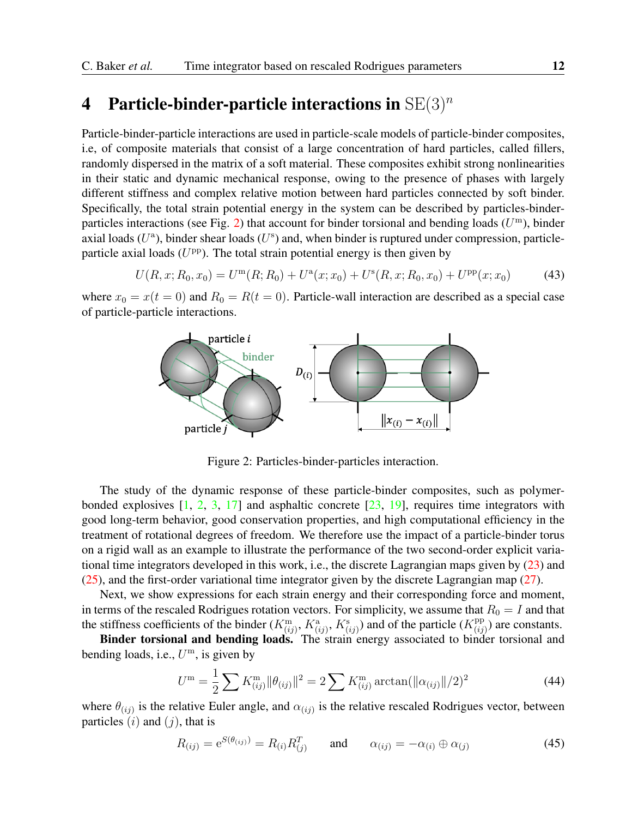# 4 Particle-binder-particle interactions in  $SE(3)^n$

Particle-binder-particle interactions are used in particle-scale models of particle-binder composites, i.e, of composite materials that consist of a large concentration of hard particles, called fillers, randomly dispersed in the matrix of a soft material. These composites exhibit strong nonlinearities in their static and dynamic mechanical response, owing to the presence of phases with largely different stiffness and complex relative motion between hard particles connected by soft binder. Specifically, the total strain potential energy in the system can be described by particles-binder-particles interactions (see Fig. [2\)](#page-11-0) that account for binder torsional and bending loads  $(U^{\mathrm{m}})$ , binder axial loads  $(U^a)$ , binder shear loads  $(U^s)$  and, when binder is ruptured under compression, particleparticle axial loads  $(U^{pp})$ . The total strain potential energy is then given by

$$
U(R, x; R_0, x_0) = U^{\rm m}(R; R_0) + U^{\rm a}(x; x_0) + U^{\rm s}(R, x; R_0, x_0) + U^{\rm pp}(x; x_0)
$$
(43)

where  $x_0 = x(t = 0)$  and  $R_0 = R(t = 0)$ . Particle-wall interaction are described as a special case of particle-particle interactions.



<span id="page-11-0"></span>Figure 2: Particles-binder-particles interaction.

The study of the dynamic response of these particle-binder composites, such as polymerbonded explosives  $\begin{bmatrix} 1, 2, 3, 17 \end{bmatrix}$  $\begin{bmatrix} 1, 2, 3, 17 \end{bmatrix}$  $\begin{bmatrix} 1, 2, 3, 17 \end{bmatrix}$  $\begin{bmatrix} 1, 2, 3, 17 \end{bmatrix}$  $\begin{bmatrix} 1, 2, 3, 17 \end{bmatrix}$  and asphaltic concrete  $\begin{bmatrix} 23, 19 \end{bmatrix}$ , requires time integrators with good long-term behavior, good conservation properties, and high computational efficiency in the treatment of rotational degrees of freedom. We therefore use the impact of a particle-binder torus on a rigid wall as an example to illustrate the performance of the two second-order explicit variational time integrators developed in this work, i.e., the discrete Lagrangian maps given by [\(23\)](#page-6-0) and [\(25\)](#page-6-1), and the first-order variational time integrator given by the discrete Lagrangian map [\(27\)](#page-7-0).

Next, we show expressions for each strain energy and their corresponding force and moment, in terms of the rescaled Rodrigues rotation vectors. For simplicity, we assume that  $R_0 = I$  and that the stiffness coefficients of the binder  $(K^{\text{m}}_{(ij)}, K^{\text{a}}_{(ij)}, K^{\text{s}}_{(ij)})$  and of the particle  $(K^{\text{pp}}_{(ij)})$  $p_{(ij)}^{\text{pp}}$ ) are constants.

Binder torsional and bending loads. The strain energy associated to binder torsional and bending loads, i.e.,  $U^{\mathrm{m}}$ , is given by

$$
U^{\mathbf{m}} = \frac{1}{2} \sum K_{(ij)}^{\mathbf{m}} ||\theta_{(ij)}||^2 = 2 \sum K_{(ij)}^{\mathbf{m}} \arctan(||\alpha_{(ij)}||/2)^2
$$
 (44)

where  $\theta_{(ij)}$  is the relative Euler angle, and  $\alpha_{(ij)}$  is the relative rescaled Rodrigues vector, between particles  $(i)$  and  $(j)$ , that is

$$
R_{(ij)} = e^{S(\theta_{(ij)})} = R_{(i)} R_{(j)}^T \qquad \text{and} \qquad \alpha_{(ij)} = -\alpha_{(i)} \oplus \alpha_{(j)} \tag{45}
$$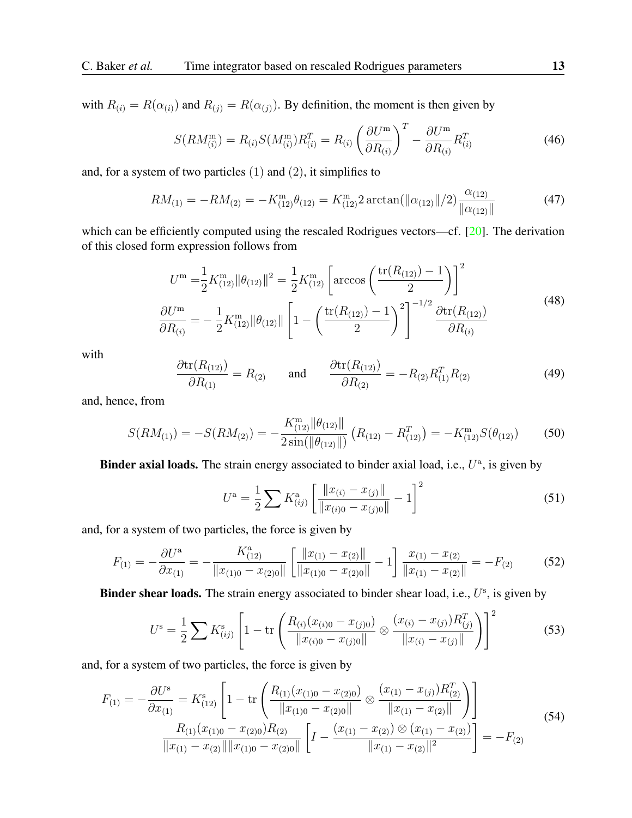with  $R(i) = R(\alpha(i))$  and  $R(j) = R(\alpha(j))$ . By definition, the moment is then given by

$$
S(RM_{(i)}^{\mathbf{m}}) = R_{(i)}S(M_{(i)}^{\mathbf{m}})R_{(i)}^{T} = R_{(i)} \left(\frac{\partial U^{\mathbf{m}}}{\partial R_{(i)}}\right)^{T} - \frac{\partial U^{\mathbf{m}}}{\partial R_{(i)}}R_{(i)}^{T}
$$
(46)

and, for a system of two particles  $(1)$  and  $(2)$ , it simplifies to

$$
RM_{(1)} = -RM_{(2)} = -K_{(12)}^{\text{m}}\theta_{(12)} = K_{(12)}^{\text{m}}2\arctan(\|\alpha_{(12)}\|/2)\frac{\alpha_{(12)}}{\|\alpha_{(12)}\|}
$$
(47)

which can be efficiently computed using the rescaled Rodrigues vectors—cf. [\[20\]](#page-18-13). The derivation of this closed form expression follows from

$$
U^{\rm m} = \frac{1}{2} K_{(12)}^{\rm m} ||\theta_{(12)}||^2 = \frac{1}{2} K_{(12)}^{\rm m} \left[ \arccos\left(\frac{\text{tr}(R_{(12)}) - 1}{2}\right) \right]^2
$$
  
\n
$$
\frac{\partial U^{\rm m}}{\partial R_{(i)}} = -\frac{1}{2} K_{(12)}^{\rm m} ||\theta_{(12)}|| \left[ 1 - \left(\frac{\text{tr}(R_{(12)}) - 1}{2}\right)^2 \right]^{-1/2} \frac{\partial \text{tr}(R_{(12)})}{\partial R_{(i)}} \tag{48}
$$

with

$$
\frac{\partial \text{tr}(R_{(12)})}{\partial R_{(1)}} = R_{(2)} \quad \text{and} \quad \frac{\partial \text{tr}(R_{(12)})}{\partial R_{(2)}} = -R_{(2)}R_{(1)}^T R_{(2)} \tag{49}
$$

and, hence, from

$$
S(RM_{(1)}) = -S(RM_{(2)}) = -\frac{K_{(12)}^{\text{m}} \|\theta_{(12)}\|}{2 \sin(\|\theta_{(12)}\|)} \left(R_{(12)} - R_{(12)}^{T}\right) = -K_{(12)}^{\text{m}} S(\theta_{(12)}) \tag{50}
$$

**Binder axial loads.** The strain energy associated to binder axial load, i.e.,  $U^{\mathsf{a}}$ , is given by

$$
U^{\mathbf{a}} = \frac{1}{2} \sum K^{\mathbf{a}}_{(ij)} \left[ \frac{\|x_{(i)} - x_{(j)}\|}{\|x_{(i)0} - x_{(j)0}\|} - 1 \right]^2 \tag{51}
$$

and, for a system of two particles, the force is given by

$$
F_{(1)} = -\frac{\partial U^{\mathbf{a}}}{\partial x_{(1)}} = -\frac{K_{(12)}}{\|x_{(1)0} - x_{(2)0}\|} \left[ \frac{\|x_{(1)} - x_{(2)}\|}{\|x_{(1)0} - x_{(2)0}\|} - 1 \right] \frac{x_{(1)} - x_{(2)}}{\|x_{(1)} - x_{(2)}\|} = -F_{(2)} \tag{52}
$$

**Binder shear loads.** The strain energy associated to binder shear load, i.e.,  $U^s$ , is given by

$$
U^{\rm s} = \frac{1}{2} \sum K^{\rm s}_{(ij)} \left[ 1 - {\rm tr} \left( \frac{R_{(i)}(x_{(i)0} - x_{(j)0})}{\|x_{(i)0} - x_{(j)0}\|} \otimes \frac{(x_{(i)} - x_{(j)})R^T_{(j)}}{\|x_{(i)} - x_{(j)}\|} \right) \right]^2 \tag{53}
$$

and, for a system of two particles, the force is given by

$$
F_{(1)} = -\frac{\partial U^s}{\partial x_{(1)}} = K^s_{(12)} \left[ 1 - \text{tr} \left( \frac{R_{(1)}(x_{(1)0} - x_{(2)0})}{\|x_{(1)0} - x_{(2)0}\|} \otimes \frac{(x_{(1)} - x_{(j)})R^T_{(2)}}{\|x_{(1)} - x_{(2)}\|} \right) \right]
$$
  

$$
\frac{R_{(1)}(x_{(1)0} - x_{(2)0})R_{(2)}}{\|x_{(1)} - x_{(2)}\| \|x_{(1)0} - x_{(2)0}\|} \left[ I - \frac{(x_{(1)} - x_{(2)}) \otimes (x_{(1)} - x_{(2)})}{\|x_{(1)} - x_{(2)}\|^2} \right] = -F_{(2)}
$$
(54)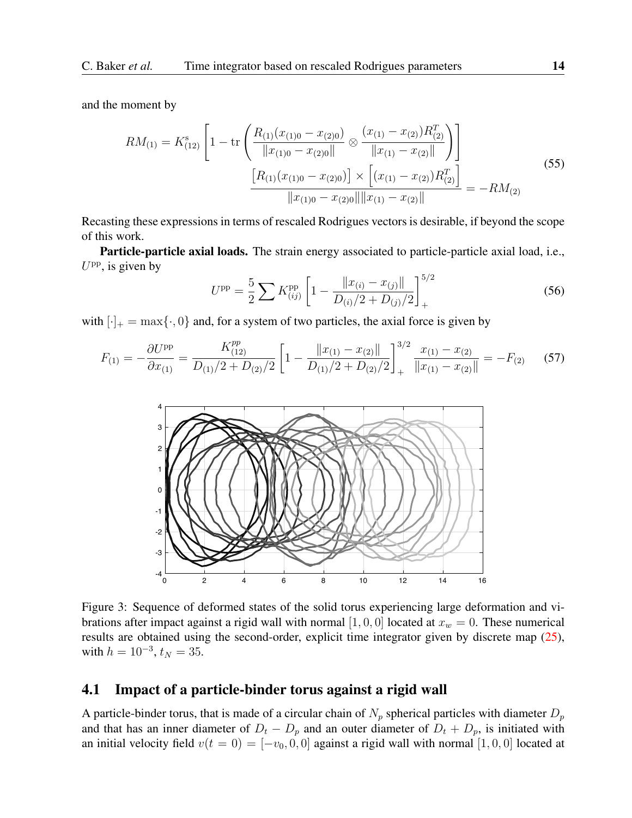and the moment by

$$
RM_{(1)} = K_{(12)}^s \left[ 1 - \text{tr} \left( \frac{R_{(1)}(x_{(1)0} - x_{(2)0})}{\|x_{(1)0} - x_{(2)0}\|} \otimes \frac{(x_{(1)} - x_{(2)})R_{(2)}^T}{\|x_{(1)} - x_{(2)}\|} \right) \right]
$$
  

$$
\frac{\left[R_{(1)}(x_{(1)0} - x_{(2)0})\right] \times \left[ (x_{(1)} - x_{(2)})R_{(2)}^T \right]}{\|x_{(1)0} - x_{(2)0}\| \|x_{(1)} - x_{(2)}\|} = -RM_{(2)}
$$
  
(55)

Recasting these expressions in terms of rescaled Rodrigues vectors is desirable, if beyond the scope of this work.

Particle-particle axial loads. The strain energy associated to particle-particle axial load, i.e.,  $U^{\rm pp}$ , is given by

$$
U^{\rm pp} = \frac{5}{2} \sum K^{\rm pp}_{(ij)} \left[ 1 - \frac{\|x_{(i)} - x_{(j)}\|}{D_{(i)}/2 + D_{(j)}/2} \right]_+^{5/2}
$$
(56)

with  $[\cdot]_+ = \max{\{\cdot, 0\}}$  and, for a system of two particles, the axial force is given by

$$
F_{(1)} = -\frac{\partial U^{\rm pp}}{\partial x_{(1)}} = \frac{K_{(12)}^{\rm pp}}{D_{(1)}/2 + D_{(2)}/2} \left[ 1 - \frac{\|x_{(1)} - x_{(2)}\|}{D_{(1)}/2 + D_{(2)}/2} \right]_+^{3/2} \frac{x_{(1)} - x_{(2)}}{\|x_{(1)} - x_{(2)}\|} = -F_{(2)} \tag{57}
$$



<span id="page-13-0"></span>Figure 3: Sequence of deformed states of the solid torus experiencing large deformation and vibrations after impact against a rigid wall with normal  $[1, 0, 0]$  located at  $x_w = 0$ . These numerical results are obtained using the second-order, explicit time integrator given by discrete map [\(25\)](#page-6-1), with  $h = 10^{-3}$ ,  $t_N = 35$ .

#### 4.1 Impact of a particle-binder torus against a rigid wall

A particle-binder torus, that is made of a circular chain of  $N_p$  spherical particles with diameter  $D_p$ and that has an inner diameter of  $D_t - D_p$  and an outer diameter of  $D_t + D_p$ , is initiated with an initial velocity field  $v(t = 0) = [-v_0, 0, 0]$  against a rigid wall with normal [1, 0, 0] located at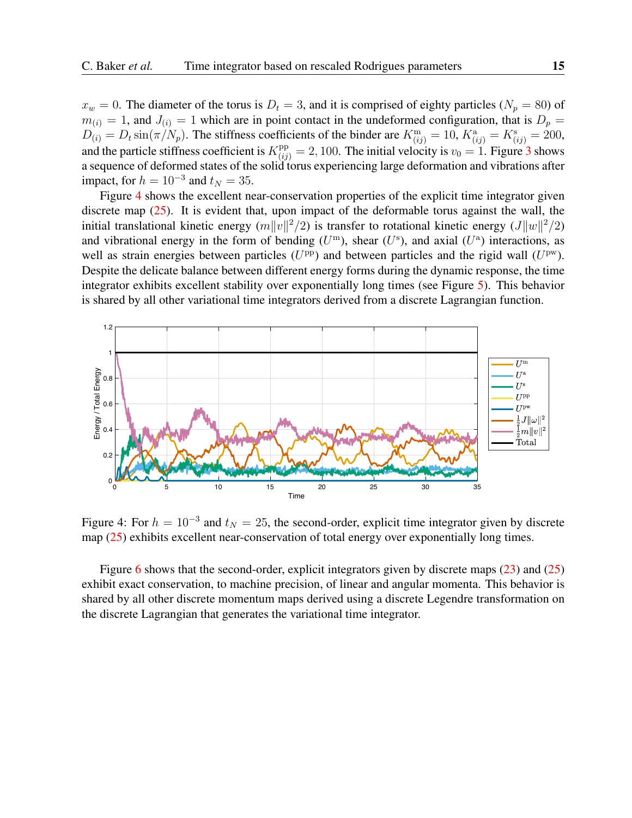$x_w = 0$ . The diameter of the torus is  $D_t = 3$ , and it is comprised of eighty particles ( $N_p = 80$ ) of  $m_{(i)} = 1$ , and  $J_{(i)} = 1$  which are in point contact in the undeformed configuration, that is  $D_p =$  $D_{(i)} = D_t \sin(\pi/N_p)$ . The stiffness coefficients of the binder are  $K^{\text{m}}_{(ij)} = 10$ ,  $K^{\text{a}}_{(ij)} = K^{\text{s}}_{(ij)} = 200$ , and the particle stiffness coefficient is  $K_{(ij)}^{\text{pp}} = 2,100$ . The initial velocity is  $v_0 = 1$ . Figure [3](#page-13-0) shows a sequence of deformed states of the solid torus experiencing large deformation and vibrations after impact, for  $h = 10^{-3}$  and  $t_N = 35$ .

Figure [4](#page-14-0) shows the excellent near-conservation properties of the explicit time integrator given discrete map  $(25)$ . It is evident that, upon impact of the deformable torus against the wall, the initial translational kinetic energy  $(m||v||^2/2)$  is transfer to rotational kinetic energy  $(J||w||^2/2)$ and vibrational energy in the form of bending  $(U^{\text{m}})$ , shear  $(U^{\text{s}})$ , and axial  $(U^{\text{a}})$  interactions, as well as strain energies between particles ( $U^{\rm pp}$ ) and between particles and the rigid wall ( $U^{\rm pw}$ ). Despite the delicate balance between different energy forms during the dynamic response, the time integrator exhibits excellent stability over exponentially long times (see Figure [5\)](#page-15-0). This behavior is shared by all other variational time integrators derived from a discrete Lagrangian function.



<span id="page-14-0"></span>Figure 4: For  $h = 10^{-3}$  and  $t<sub>N</sub> = 25$ , the second-order, explicit time integrator given by discrete map [\(25\)](#page-6-1) exhibits excellent near-conservation of total energy over exponentially long times.

Figure [6](#page-15-1) shows that the second-order, explicit integrators given by discrete maps [\(23\)](#page-6-0) and [\(25\)](#page-6-1) exhibit exact conservation, to machine precision, of linear and angular momenta. This behavior is shared by all other discrete momentum maps derived using a discrete Legendre transformation on the discrete Lagrangian that generates the variational time integrator.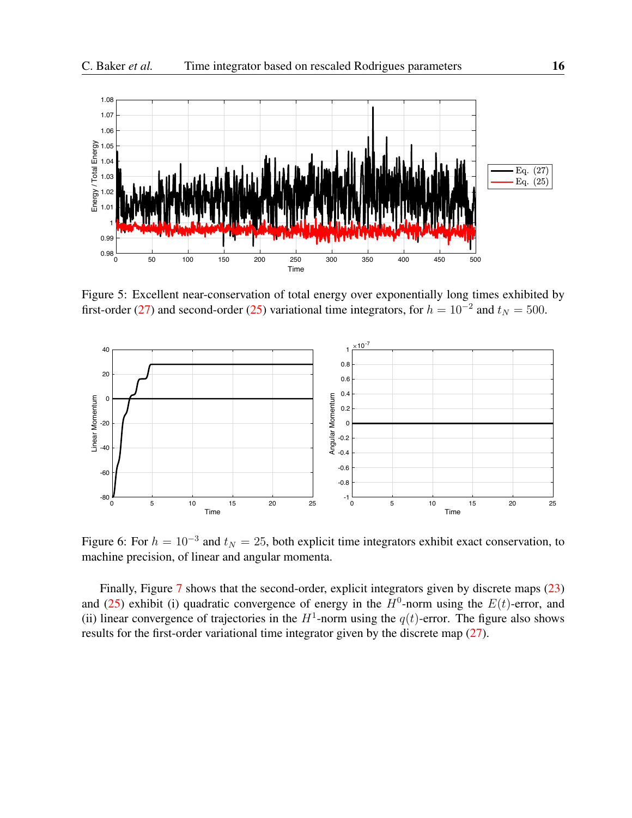

<span id="page-15-0"></span>Figure 5: Excellent near-conservation of total energy over exponentially long times exhibited by first-order [\(27\)](#page-7-0) and second-order [\(25\)](#page-6-1) variational time integrators, for  $h = 10^{-2}$  and  $t<sub>N</sub> = 500$ .



<span id="page-15-1"></span>Figure 6: For  $h = 10^{-3}$  and  $t_N = 25$ , both explicit time integrators exhibit exact conservation, to machine precision, of linear and angular momenta.

Finally, Figure [7](#page-16-0) shows that the second-order, explicit integrators given by discrete maps [\(23\)](#page-6-0) and [\(25\)](#page-6-1) exhibit (i) quadratic convergence of energy in the  $H^0$ -norm using the  $E(t)$ -error, and (ii) linear convergence of trajectories in the  $H^1$ -norm using the  $q(t)$ -error. The figure also shows results for the first-order variational time integrator given by the discrete map [\(27\)](#page-7-0).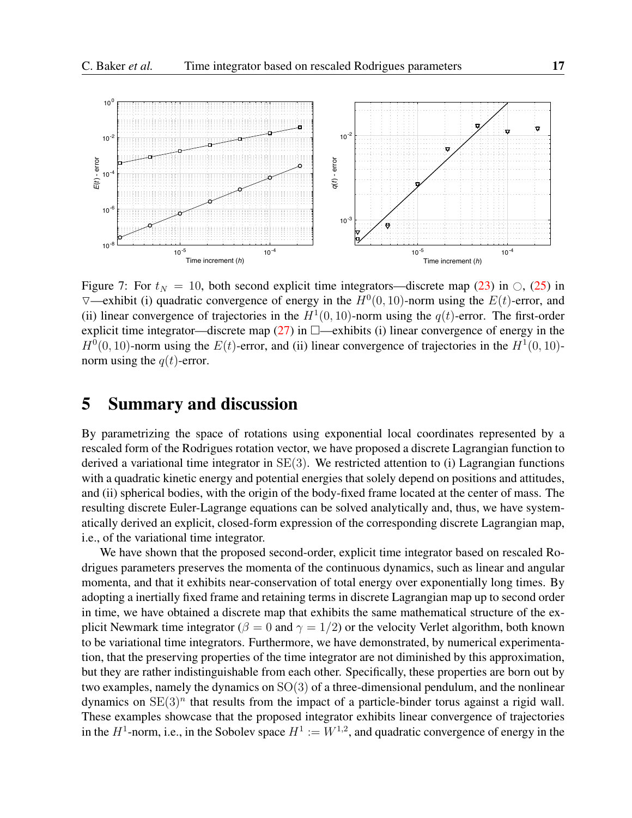

<span id="page-16-0"></span>Figure 7: For  $t_N = 10$ , both second explicit time integrators—discrete map [\(23\)](#page-6-0) in  $\bigcirc$ , [\(25\)](#page-6-1) in  $\nabla$ —exhibit (i) quadratic convergence of energy in the  $H^0(0, 10)$ -norm using the  $E(t)$ -error, and (ii) linear convergence of trajectories in the  $H^1(0, 10)$ -norm using the  $q(t)$ -error. The first-order explicit time integrator—discrete map [\(27\)](#page-7-0) in  $\Box$ —exhibits (i) linear convergence of energy in the  $H^0(0, 10)$ -norm using the  $E(t)$ -error, and (ii) linear convergence of trajectories in the  $H^1(0, 10)$ norm using the  $q(t)$ -error.

### 5 Summary and discussion

By parametrizing the space of rotations using exponential local coordinates represented by a rescaled form of the Rodrigues rotation vector, we have proposed a discrete Lagrangian function to derived a variational time integrator in  $SE(3)$ . We restricted attention to (i) Lagrangian functions with a quadratic kinetic energy and potential energies that solely depend on positions and attitudes, and (ii) spherical bodies, with the origin of the body-fixed frame located at the center of mass. The resulting discrete Euler-Lagrange equations can be solved analytically and, thus, we have systematically derived an explicit, closed-form expression of the corresponding discrete Lagrangian map, i.e., of the variational time integrator.

We have shown that the proposed second-order, explicit time integrator based on rescaled Rodrigues parameters preserves the momenta of the continuous dynamics, such as linear and angular momenta, and that it exhibits near-conservation of total energy over exponentially long times. By adopting a inertially fixed frame and retaining terms in discrete Lagrangian map up to second order in time, we have obtained a discrete map that exhibits the same mathematical structure of the explicit Newmark time integrator ( $\beta = 0$  and  $\gamma = 1/2$ ) or the velocity Verlet algorithm, both known to be variational time integrators. Furthermore, we have demonstrated, by numerical experimentation, that the preserving properties of the time integrator are not diminished by this approximation, but they are rather indistinguishable from each other. Specifically, these properties are born out by two examples, namely the dynamics on SO(3) of a three-dimensional pendulum, and the nonlinear dynamics on  $SE(3)^n$  that results from the impact of a particle-binder torus against a rigid wall. These examples showcase that the proposed integrator exhibits linear convergence of trajectories in the  $H^1$ -norm, i.e., in the Sobolev space  $H^1 := W^{1,2}$ , and quadratic convergence of energy in the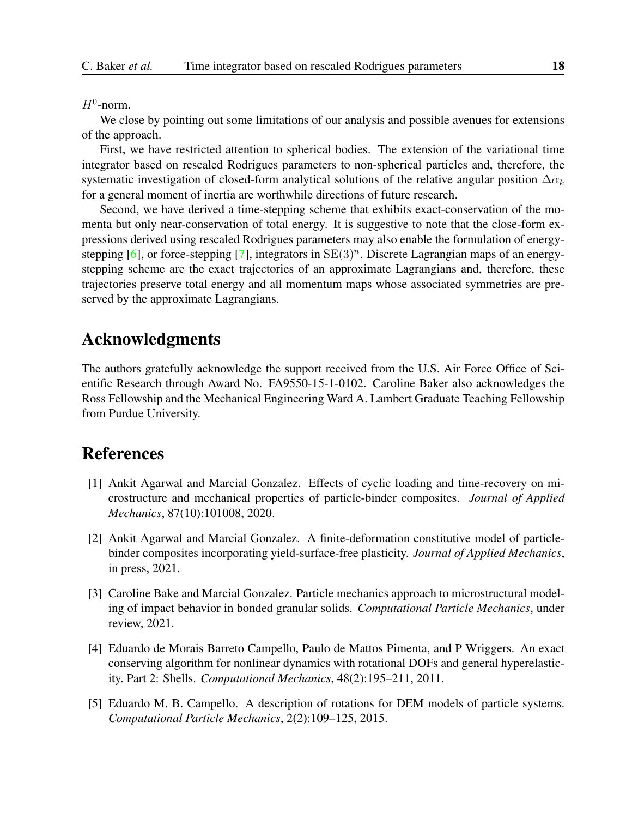$H^0$ -norm.

We close by pointing out some limitations of our analysis and possible avenues for extensions of the approach.

First, we have restricted attention to spherical bodies. The extension of the variational time integrator based on rescaled Rodrigues parameters to non-spherical particles and, therefore, the systematic investigation of closed-form analytical solutions of the relative angular position  $\Delta \alpha_k$ for a general moment of inertia are worthwhile directions of future research.

Second, we have derived a time-stepping scheme that exhibits exact-conservation of the momenta but only near-conservation of total energy. It is suggestive to note that the close-form expressions derived using rescaled Rodrigues parameters may also enable the formulation of energy-stepping [\[6\]](#page-18-0), or force-stepping [\[7\]](#page-18-14), integrators in  $SE(3)^n$ . Discrete Lagrangian maps of an energystepping scheme are the exact trajectories of an approximate Lagrangians and, therefore, these trajectories preserve total energy and all momentum maps whose associated symmetries are preserved by the approximate Lagrangians.

# Acknowledgments

The authors gratefully acknowledge the support received from the U.S. Air Force Office of Scientific Research through Award No. FA9550-15-1-0102. Caroline Baker also acknowledges the Ross Fellowship and the Mechanical Engineering Ward A. Lambert Graduate Teaching Fellowship from Purdue University.

### References

- <span id="page-17-2"></span>[1] Ankit Agarwal and Marcial Gonzalez. Effects of cyclic loading and time-recovery on microstructure and mechanical properties of particle-binder composites. *Journal of Applied Mechanics*, 87(10):101008, 2020.
- <span id="page-17-3"></span>[2] Ankit Agarwal and Marcial Gonzalez. A finite-deformation constitutive model of particlebinder composites incorporating yield-surface-free plasticity. *Journal of Applied Mechanics*, in press, 2021.
- <span id="page-17-4"></span>[3] Caroline Bake and Marcial Gonzalez. Particle mechanics approach to microstructural modeling of impact behavior in bonded granular solids. *Computational Particle Mechanics*, under review, 2021.
- <span id="page-17-1"></span>[4] Eduardo de Morais Barreto Campello, Paulo de Mattos Pimenta, and P Wriggers. An exact conserving algorithm for nonlinear dynamics with rotational DOFs and general hyperelasticity. Part 2: Shells. *Computational Mechanics*, 48(2):195–211, 2011.
- <span id="page-17-0"></span>[5] Eduardo M. B. Campello. A description of rotations for DEM models of particle systems. *Computational Particle Mechanics*, 2(2):109–125, 2015.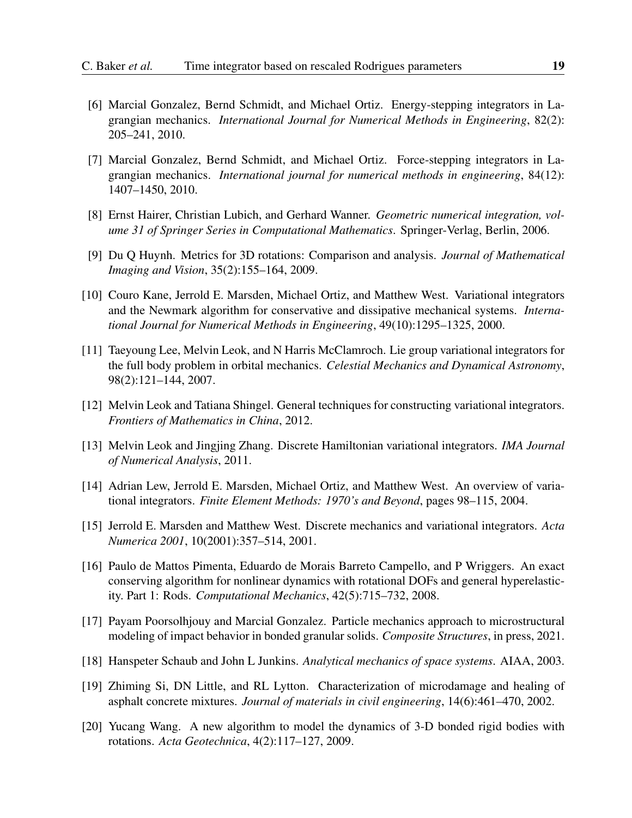- <span id="page-18-0"></span>[6] Marcial Gonzalez, Bernd Schmidt, and Michael Ortiz. Energy-stepping integrators in Lagrangian mechanics. *International Journal for Numerical Methods in Engineering*, 82(2): 205–241, 2010.
- <span id="page-18-14"></span>[7] Marcial Gonzalez, Bernd Schmidt, and Michael Ortiz. Force-stepping integrators in Lagrangian mechanics. *International journal for numerical methods in engineering*, 84(12): 1407–1450, 2010.
- <span id="page-18-3"></span>[8] Ernst Hairer, Christian Lubich, and Gerhard Wanner. *Geometric numerical integration, volume 31 of Springer Series in Computational Mathematics*. Springer-Verlag, Berlin, 2006.
- <span id="page-18-10"></span>[9] Du Q Huynh. Metrics for 3D rotations: Comparison and analysis. *Journal of Mathematical Imaging and Vision*, 35(2):155–164, 2009.
- <span id="page-18-4"></span>[10] Couro Kane, Jerrold E. Marsden, Michael Ortiz, and Matthew West. Variational integrators and the Newmark algorithm for conservative and dissipative mechanical systems. *International Journal for Numerical Methods in Engineering*, 49(10):1295–1325, 2000.
- <span id="page-18-5"></span>[11] Taeyoung Lee, Melvin Leok, and N Harris McClamroch. Lie group variational integrators for the full body problem in orbital mechanics. *Celestial Mechanics and Dynamical Astronomy*, 98(2):121–144, 2007.
- <span id="page-18-7"></span>[12] Melvin Leok and Tatiana Shingel. General techniques for constructing variational integrators. *Frontiers of Mathematics in China*, 2012.
- <span id="page-18-6"></span>[13] Melvin Leok and Jingjing Zhang. Discrete Hamiltonian variational integrators. *IMA Journal of Numerical Analysis*, 2011.
- <span id="page-18-2"></span>[14] Adrian Lew, Jerrold E. Marsden, Michael Ortiz, and Matthew West. An overview of variational integrators. *Finite Element Methods: 1970's and Beyond*, pages 98–115, 2004.
- <span id="page-18-1"></span>[15] Jerrold E. Marsden and Matthew West. Discrete mechanics and variational integrators. *Acta Numerica 2001*, 10(2001):357–514, 2001.
- <span id="page-18-8"></span>[16] Paulo de Mattos Pimenta, Eduardo de Morais Barreto Campello, and P Wriggers. An exact conserving algorithm for nonlinear dynamics with rotational DOFs and general hyperelasticity. Part 1: Rods. *Computational Mechanics*, 42(5):715–732, 2008.
- <span id="page-18-11"></span>[17] Payam Poorsolhjouy and Marcial Gonzalez. Particle mechanics approach to microstructural modeling of impact behavior in bonded granular solids. *Composite Structures*, in press, 2021.
- <span id="page-18-9"></span>[18] Hanspeter Schaub and John L Junkins. *Analytical mechanics of space systems*. AIAA, 2003.
- <span id="page-18-12"></span>[19] Zhiming Si, DN Little, and RL Lytton. Characterization of microdamage and healing of asphalt concrete mixtures. *Journal of materials in civil engineering*, 14(6):461–470, 2002.
- <span id="page-18-13"></span>[20] Yucang Wang. A new algorithm to model the dynamics of 3-D bonded rigid bodies with rotations. *Acta Geotechnica*, 4(2):117–127, 2009.